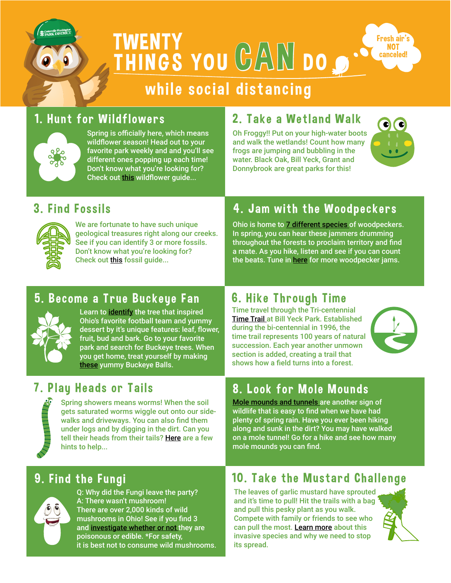

THINGS YOU GAN DO **TWENTY** 



# while social distancing

## 1. Hunt for Wildflowers



Spring is officially here, which means wildflower season! Head out to your favorite park weekly and and you'll see different ones popping up each time! Don't know what you're looking for? Check out [this](http://wildlife.ohiodnr.gov/portals/wildlife/pdfs/publications/id%20guides/Pub_5494_Spring%20Wildflowers.pdf) wildflower guide...

## 2. Take a Wetland Walk

Oh Froggy!! Put on your high-water boots and walk the wetlands! Count how many frogs are jumping and bubbling in the water. Black Oak, Bill Yeck, Grant and Donnybrook are great parks for this!



#### 3. Find Fossils



We are fortunate to have such unique geological treasures right along our creeks. See if you can identify 3 or more fossils. Don't know what you're looking for? Check out [this](https://www.cedarville.edu/~/media/Files/PDF/Geology/fossil-identification-guide.pdf) fossil guide...

### 4. Jam with the Woodpeckers

Ohio is home to [7 different species](https://greennature.com/ohio-woodpeckers/) of woodpeckers. In spring, you can hear these jammers drumming throughout the forests to proclaim territory and find a mate. As you hike, listen and see if you can count the beats. Tune in [here](https://www.audubon.org/news/hear-differing-drumbeats-woodpeckers) for more woodpecker jams.

#### 5. Become a True Buckeue Fan



Learn to [identify](http://forestry.ohiodnr.gov/ohiobuckeye) the tree that inspired Ohio's favorite football team and yummy dessert by it's unique features: leaf, flower, fruit, bud and bark. Go to your favorite park and search for Buckeye trees. When you get home, treat yourself by making [these](https://www.allrecipes.com/recipe/11162/buckeye-balls/) yummy Buckeye Balls.

#### 7. Plau Heads or Tails



Spring showers means worms! When the soil gets saturated worms wiggle out onto our sidewalks and driveways. You can also find them under logs and by digging in the dirt. Can you tell their heads from their tails? H[ere](https://www.opalexplorenature.org/sites/default/files/7/image/SOIL%204pp%20chart.pdf) are a few hints to help...

#### 6. Hike Through Time

Time travel through the Tri-centennial [Time Trail](https://www.cwpd.org/wp-content/uploads/2019/09/bill-yeck-trail-map-9-2019.pdf) at Bill Yeck Park. Established during the bi-centennial in 1996, the time trail represents 100 years of natural succession. Each year another unmown section is added, creating a trail that shows how a field turns into a forest.



## 8. Look for Mole Mounds

[Mole mounds and tunnels](https://www.almanac.com/pest/moles) are another sign of wildlife that is easy to find when we have had plenty of spring rain. Have you ever been hiking along and sunk in the dirt? You may have walked on a mole tunnel! Go for a hike and see how many mole mounds you can find.

## **9. Find the Fungi**



Q: Why did the Fungi leave the party? A: There wasn't mushroom! There are over 2,000 kinds of wild mushrooms in Ohio! See if you find 3 and [investigate whether or not](https://ohioline.osu.edu/factsheet/plpath-gen-11) they are poisonous or edible. \*For safety, it is best not to consume wild mushrooms.

#### 10. Take the Mustard Challenge

The leaves of garlic mustard have sprouted and it's time to pull! Hit the trails with a bag and pull this pesky plant as you walk. Compete with family or friends to see who can pull the most. [Learn more](https://www.nps.gov/efmo/learn/nature/invasion-of-the-plant-snatchers-garlic-mustard.htm) about this invasive species and why we need to stop its spread.